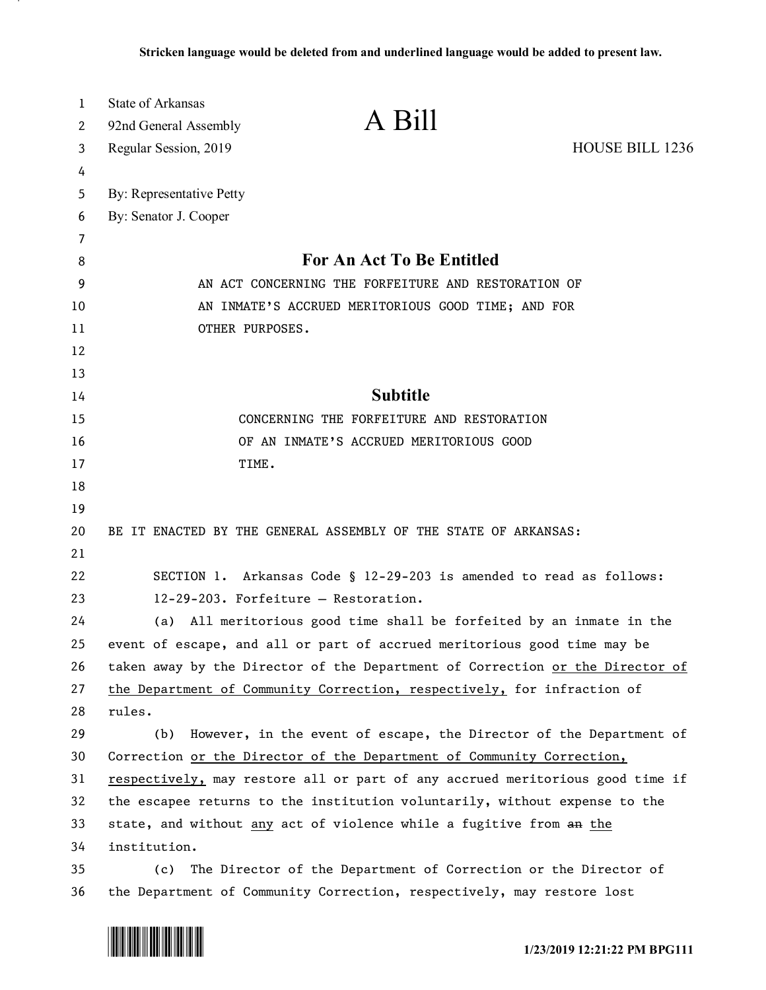| 1  | <b>State of Arkansas</b>                                                      |  |  |  |  |  |  |  |  |  |
|----|-------------------------------------------------------------------------------|--|--|--|--|--|--|--|--|--|
| 2  | A Bill<br>92nd General Assembly                                               |  |  |  |  |  |  |  |  |  |
| 3  | <b>HOUSE BILL 1236</b><br>Regular Session, 2019                               |  |  |  |  |  |  |  |  |  |
| 4  |                                                                               |  |  |  |  |  |  |  |  |  |
| 5  | By: Representative Petty                                                      |  |  |  |  |  |  |  |  |  |
| 6  | By: Senator J. Cooper                                                         |  |  |  |  |  |  |  |  |  |
| 7  |                                                                               |  |  |  |  |  |  |  |  |  |
| 8  | <b>For An Act To Be Entitled</b>                                              |  |  |  |  |  |  |  |  |  |
| 9  | AN ACT CONCERNING THE FORFEITURE AND RESTORATION OF                           |  |  |  |  |  |  |  |  |  |
| 10 | AN INMATE'S ACCRUED MERITORIOUS GOOD TIME; AND FOR                            |  |  |  |  |  |  |  |  |  |
| 11 | OTHER PURPOSES.                                                               |  |  |  |  |  |  |  |  |  |
| 12 |                                                                               |  |  |  |  |  |  |  |  |  |
| 13 |                                                                               |  |  |  |  |  |  |  |  |  |
| 14 | <b>Subtitle</b>                                                               |  |  |  |  |  |  |  |  |  |
| 15 | CONCERNING THE FORFEITURE AND RESTORATION                                     |  |  |  |  |  |  |  |  |  |
| 16 | OF AN INMATE'S ACCRUED MERITORIOUS GOOD                                       |  |  |  |  |  |  |  |  |  |
| 17 | TIME.                                                                         |  |  |  |  |  |  |  |  |  |
| 18 |                                                                               |  |  |  |  |  |  |  |  |  |
| 19 |                                                                               |  |  |  |  |  |  |  |  |  |
| 20 | BE IT ENACTED BY THE GENERAL ASSEMBLY OF THE STATE OF ARKANSAS:               |  |  |  |  |  |  |  |  |  |
| 21 |                                                                               |  |  |  |  |  |  |  |  |  |
| 22 | SECTION 1. Arkansas Code § 12-29-203 is amended to read as follows:           |  |  |  |  |  |  |  |  |  |
| 23 | 12-29-203. Forfeiture - Restoration.                                          |  |  |  |  |  |  |  |  |  |
| 24 | (a) All meritorious good time shall be forfeited by an inmate in the          |  |  |  |  |  |  |  |  |  |
| 25 | event of escape, and all or part of accrued meritorious good time may be      |  |  |  |  |  |  |  |  |  |
| 26 | taken away by the Director of the Department of Correction or the Director of |  |  |  |  |  |  |  |  |  |
| 27 | the Department of Community Correction, respectively, for infraction of       |  |  |  |  |  |  |  |  |  |
| 28 | rules.                                                                        |  |  |  |  |  |  |  |  |  |
| 29 | However, in the event of escape, the Director of the Department of<br>(b)     |  |  |  |  |  |  |  |  |  |
| 30 | Correction or the Director of the Department of Community Correction,         |  |  |  |  |  |  |  |  |  |
| 31 | respectively, may restore all or part of any accrued meritorious good time if |  |  |  |  |  |  |  |  |  |
| 32 | the escapee returns to the institution voluntarily, without expense to the    |  |  |  |  |  |  |  |  |  |
| 33 | state, and without any act of violence while a fugitive from an the           |  |  |  |  |  |  |  |  |  |
| 34 | institution.                                                                  |  |  |  |  |  |  |  |  |  |
| 35 | The Director of the Department of Correction or the Director of<br>(c)        |  |  |  |  |  |  |  |  |  |
| 36 | the Department of Community Correction, respectively, may restore lost        |  |  |  |  |  |  |  |  |  |